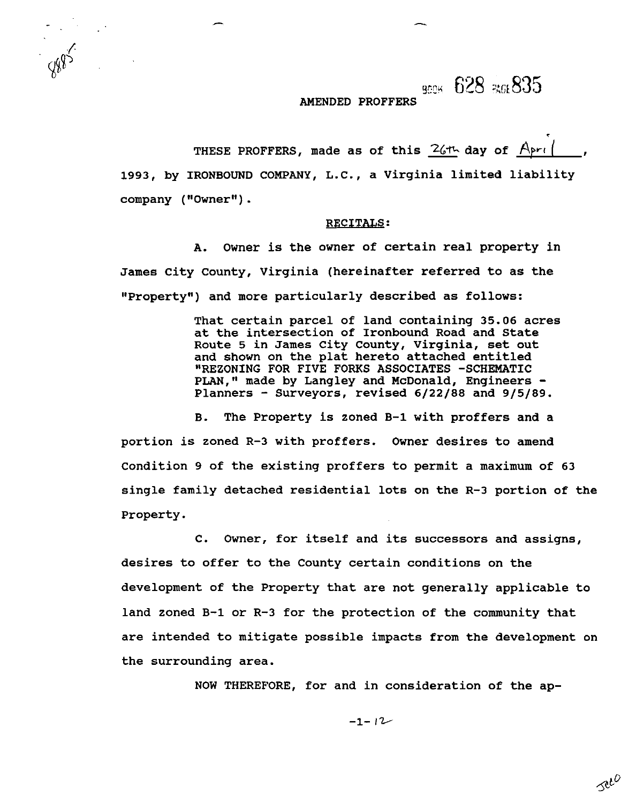$\frac{9004}{10000}$  628  $\frac{206}{1000}$  635

### **AMENDED PROFFERS**

THESE PROFFERS, made as of this  $26$ <sup>th</sup> day of  $A$ pri **1993, by IRONBOUND COMPANY, L.C., a Virginia limited liability**  company ("Owner").

### **RECITALS:**

**A. Owner is the owner of certain real property in James City County, Virginia (hereinafter referred to as the ffPropertyff) and more particularly described as follows:** 

> **That certain parcel of land containing 35.06 acres at the intersection of Ironbound Road and State Route 5 in James City County, Virginia, set out and shown on the plat hereto attached entitled "REZONING FOR FIVE FORKS ASSOCIATES -SCHEMATIC**  PLAN," made by Langley and McDonald, Engineers -**Planners** - **Surveyors, revised 6/22/88 and 9/5/89.**

**B. The Property is zoned B-1 with proffers and a portion is zoned R-3 with proffers. Owner desires to amend Condition 9 of the existing proffers to permit a maximum of 63 single family detached residential lots on the R-3 portion of the Property.** 

**C. Owner, for itself and its successors and assigns, desires to offer to the County certain conditions on the development of the Property that are not generally applicable to land zoned B-1 or R-3 for the protection of the community that are intended to mitigate possible impacts from the development on the surrounding area.** 

**NOW THEREFORE, for and in consideration of the ap-** 

 $-1-12$ 

seco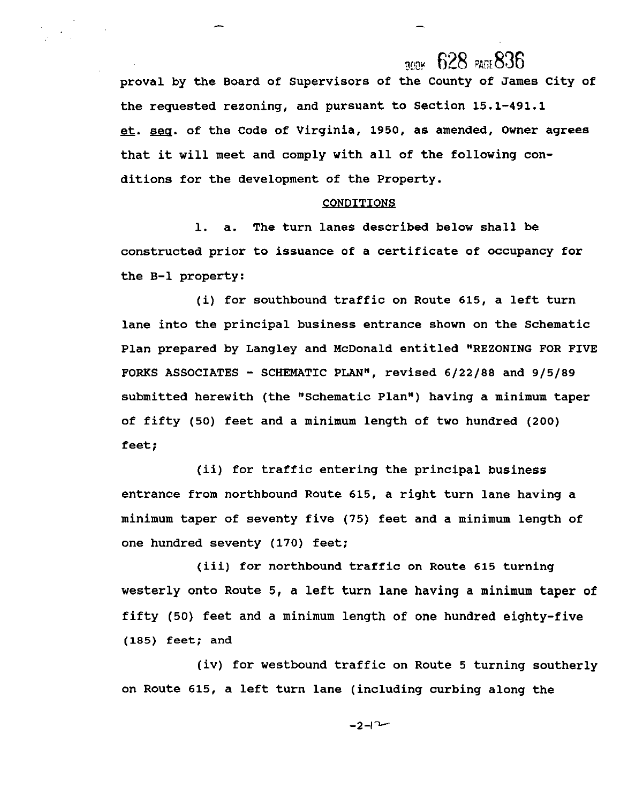### $R_{max}$  628  $R_{max}$ 836

**proval by the Board of Supervisors of the County of James City of the requested rezoning, and pursuant to Section 15.1-491.1 pr. m. of the Code of Virginia, 1950, as amended, Owner agrees that it will meet and comply with all of the following conditions for the development of the Property.** 

#### **CONDITIONS**

**1. a. The turn lanes described below shall be constructed prior to issuance of a certificate of occupancy for the B-1 property:** 

**(i) for southbound traffic on Route 615, a left turn lane into the principal business entrance shown on the Schematic Plan prepared by Langley and McDonald entitled "REZONING FOR FIVE FORKS ASSOCIATES** - **SCHEMATIC PLAN", revised 6/22/88 and 9/5/89 submitted herewith (the "Schematic Plan") having a minimum taper of fifty (50) feet and a minimum length of two hundred (200) feet;** 

**(ii) for traffic entering the principal business entrance from northbound Route 615, a right turn lane having a minimum taper of seventy five (75) feet and a minimum length of one hundred seventy (170) feet;** 

**(iii) for northbound traffic on Route 615 turning westerly onto Route 5, a left turn lane having a minimum taper of fifty (50) feet and a minimum length of one hundred eighty-five (185) feet; and** 

**(iv) for westbound traffic on Route 5 turning southerly on Route 615, a left turn lane (including curbing along the** 

 $-2-1$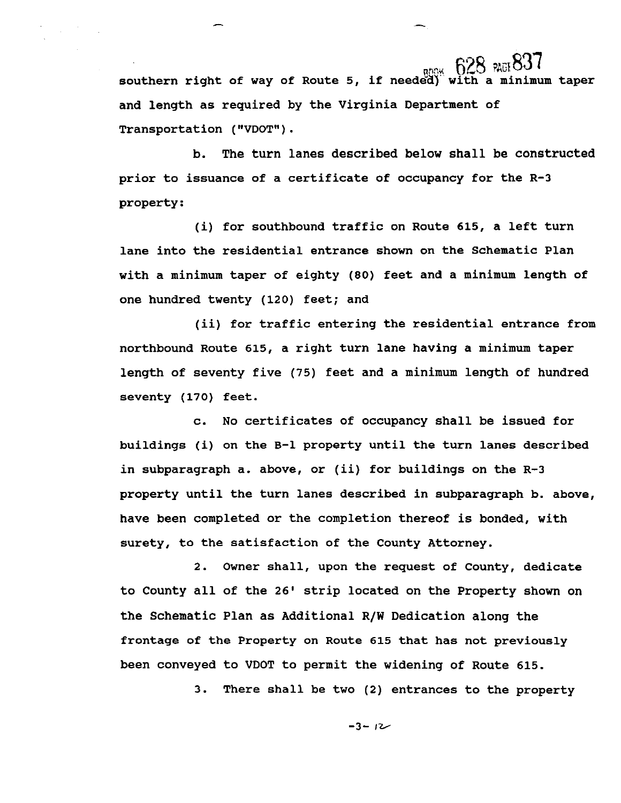<sub>800%</sub> 628 RGB37<br>ad with a minimum taper southern right of way of Route 5, if needed) **and length as required by the Virginia Department of Transportation** ( **VDOT"** ) .

**b. The turn lanes described below shall be constructed prior to issuance of a certificate of occupancy for the R-3 property:** 

**(i) for southbound traffic on Route 615, a left turn lane into the residential entrance shown on the Schematic Plan with a minimum taper of eighty (80) feet and a minimum length of one hundred twenty (120) feet; and** 

**(ii) for traffic entering the residential entrance from northbound Route 615, a right turn lane having a minimum taper length of seventy five (75) feet and a minimum length of hundred seventy (170) feet.** 

**c. No certificates of occupancy shall be issued for buildings (i) on the B-1 property until the turn lanes described in subparagraph a. above, or (ii) for buildings on the R-3 property until the turn lanes described in subparagraph b. above, have been completed or the completion thereof is bonded, with surety, to the satisfaction of the County Attorney.** 

**2. Owner shall, upon the request of County, dedicate to County all of the 26' strip located on the Property shown on the Schematic Plan as Additional R/W Dedication along the frontage of the Property on Route 615 that has not previously been conveyed to VDOT to permit the widening of Route 615.** 

**3. There shall be two (2) entrances to the property** 

 $-3 - 12$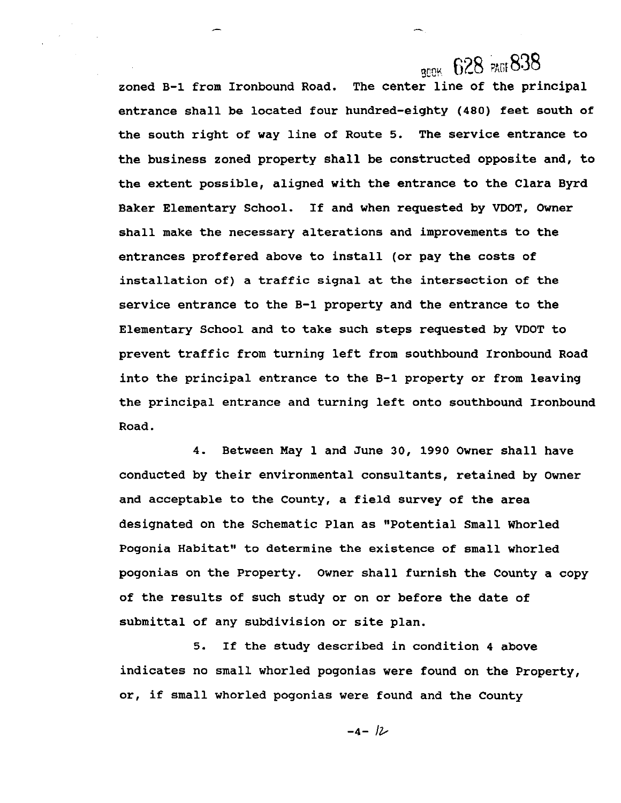## **BOOK 628 PAGE 838**

**zoned B-1 from Ironbound Road. The center line of the principal entrance shall be located four hundred-eighty (480) feet south of the south right of way line of Route 5. The service entrance to the business zoned property shall be constructed opposite and, to the extent possible, aligned with the entrance to the Clara Byrd Baker Elementary School. If and when requested by VDOT, Owner shall make the necessary alterations and improvements to the entrances proffered above to install (or pay the costs of installation of) a traffic signal at the intersection of the service entrance to the B-1 property and the entrance to the Elementary School and to take such steps requested by VDOT to prevent traffic from turning left from southbound Ironbound Road into the principal entrance to the 8-1 property or from leaving the principal entrance and turning left onto southbound Ironbound Road.** 

**4. Between May 1 and June 30, 1990 Owner shall have conducted by their environmental consultants, retained by Owner and acceptable to the County, a field survey of the area**  designated on the Schematic Plan as "Potential Small Whorled Pogonia Habitat" to determine the existence of small whorled **pogonias on the Property. Owner shall furnish the County a copy of the results of such study or on or before the date of submittal of any subdivision or site plan.** 

**5. If the study described in condition 4 above indicates no small whorled pogonias were found on the Property, or, if small whorled pogonias were found and the County** 

$$
-4 - 12
$$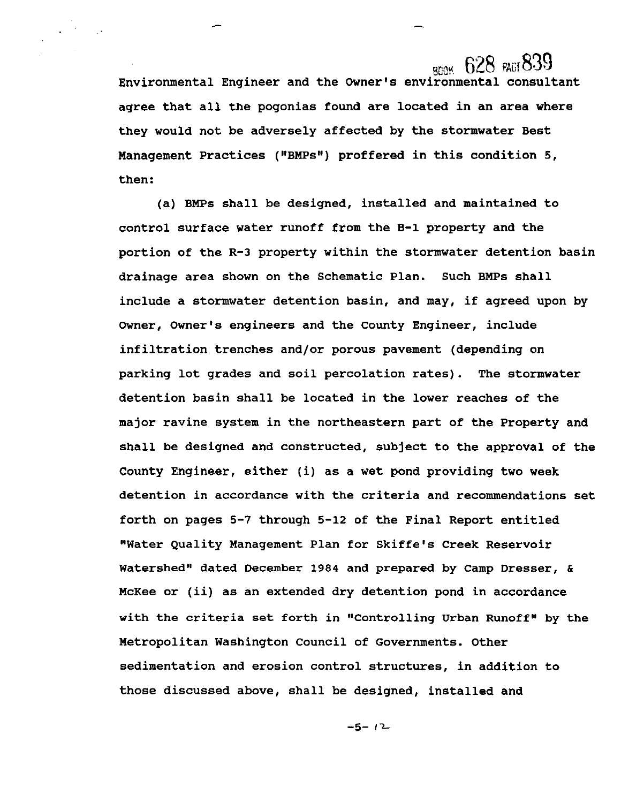## $_{\rm BDM}$  628  $_{\rm BAG}$ 839

**Environmental Engineer and the Owner's environmental consultant agree that all the pogonias found are located in an area where they would not be adversely affected by the stormwater Best**  Management Practices ("BMPs") proffered in this condition 5, **then:** 

**(a) BMPs shall be designed, installed and maintained to control surface water runoff from the B-1 property and the portion of the R-3 property within the stormwater detention basin drainage area shown on the Schematic Plan. Such BMPs shall include a stormwater detention basin, and may, if agreed upon by Owner, Owner's engineers and the County Engineer, include infiltration trenches and/or porous pavement (depending on parking lot grades and soil percolation rates). The stormwater detention basin shall be located in the lower reaches of the major ravine system in the northeastern part of the Property and shall be designed and constructed, subject to the approval of the County Engineer, either (i) as a wet pond providing two week detention in accordance with the criteria and recommendations set forth on pages 5-7 through 5-12 of the Final Report entitled "Water Quality Management Plan for Skiffe's Creek Reservoir**  Watershed" dated December 1984 and prepared by Camp Dresser, & **McKee or (ii) as an extended dry detention pond in accordance with the criteria set forth in "Controlling Urban Runoff" by the Metropolitan Washington Council of Governments. Other sedimentation and erosion control structures, in addition to those discussed above, shall be designed, installed and** 

 $-5 - 12$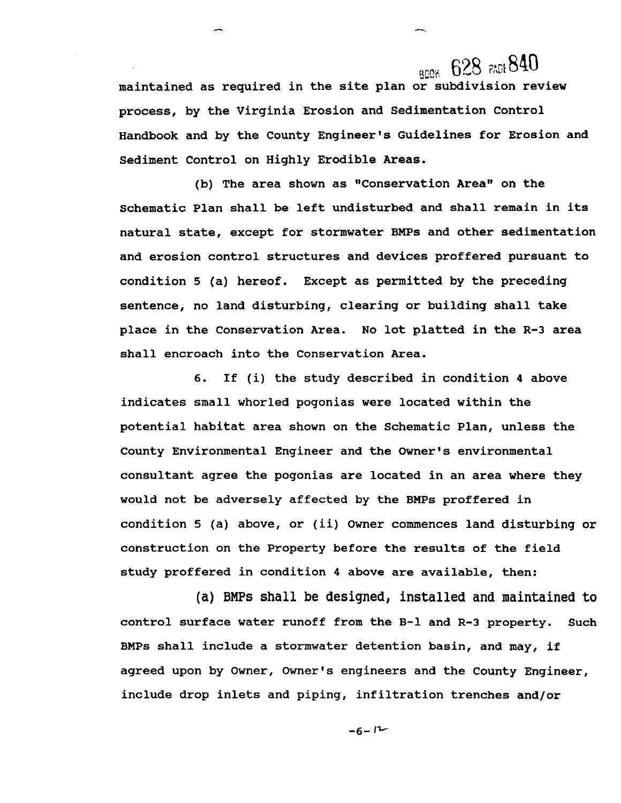# **BOOK 628 PADE 840**

**maintained as required in the site plan or subdivision review process, by the Virginia Erosion and Sedimentation Control Handbook and by the County Engineer's Guidelines for Erosion and Sediment Control on Highly Erodible Areas.** 

(b) The area shown as "Conservation Area" on the **Schematic Plan shall be left undisturbed and shall remain in its natural state, except for stormwater BMPs and other sedimentation and erosion control structures and devices proffered pursuant to condition 5 (a) hereof. Except as permitted by the preceding sentence, no land disturbing, clearing or building shall take place in the Conservation Area. No lot platted in the R-3 area shall encroach into the Conservation Area.** 

**6. If (i) the study described in condition 4 above indicates small whorled pogonias were located within the potential habitat area shown on the Schematic Plan, unless the County Environmental Engineer and the Owner's environmental consultant agree the pogonias are located in an area where they would not be adversely affected by the BMPs proffered in condition 5 (a) above, or (ii) Owner commences land disturbing or construction on the Property before the results of the field study proffered in condition 4 above are available, then:** 

(a) BMPs shall be designed, installed and maintained to **control surface water runoff from the B-1 and R-3 property. Such BMPs shall include a stormwater detention basin, and may, if agreed upon by Owner, Owner's engineers and the County Engineer, include drop inlets and piping, infiltration trenches and/or** 

 $-6-12$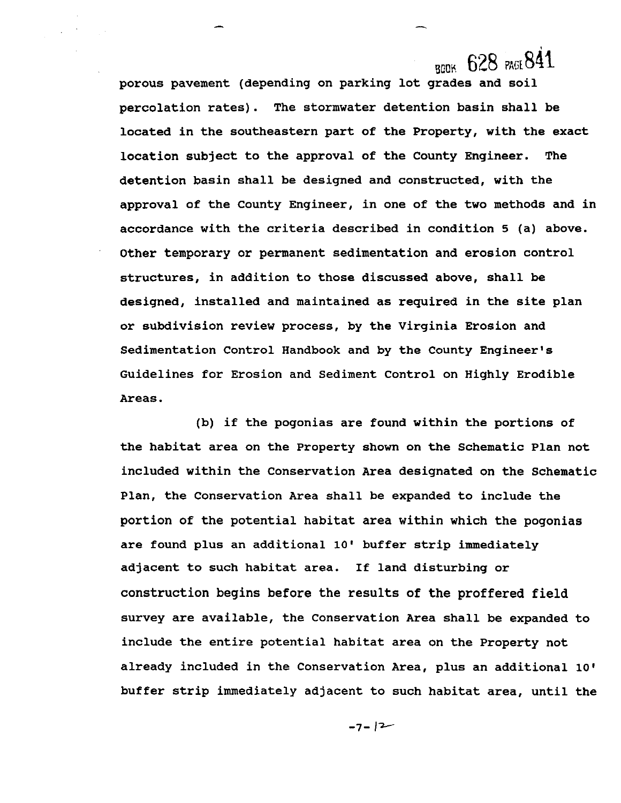## BOOK 628 PAGE 841

**porous pavement (depending on parking lot grades and soil percolation rates). The stormwater detention basin shall be located in the southeastern part of the Property, with the exact location subject to the approval of the County Engineer. The detention basin shall be designed and constructed, with the approval of the County Engineer, in one of the two methods and in accordance with the criteria described in condition 5 (a) above. Other temporary or permanent sedimentation and erosion control structures, in addition to those discussed above, shall be designed, installed and maintained as required in the site plan or subdivision review process, by the Virginia Erosion and Sedimentation Control Handbook and by the County Engineer's Guidelines for Erosion and Sediment Control on Highly Erodible Areas.** 

**(b) if the pogonias are found within the portions of the habitat area on the Property shown on the Schematic Plan not included within the Conservation Area designated on the Schematic Plan, the Conservation Area shall be expanded to include the portion of the potential habitat area within which the pogonias are found plus an additional 10' buffer strip immediately adjacent to such habitat area. If land disturbing or construction begins before the results of the proffered field survey are available, the Conservation Area shall be expanded to include the entire potential habitat area on the Property not already included in the Conservation Area, plus an additional 10' buffer strip immediately adjacent to such habitat area, until the** 

 $-7 - 12$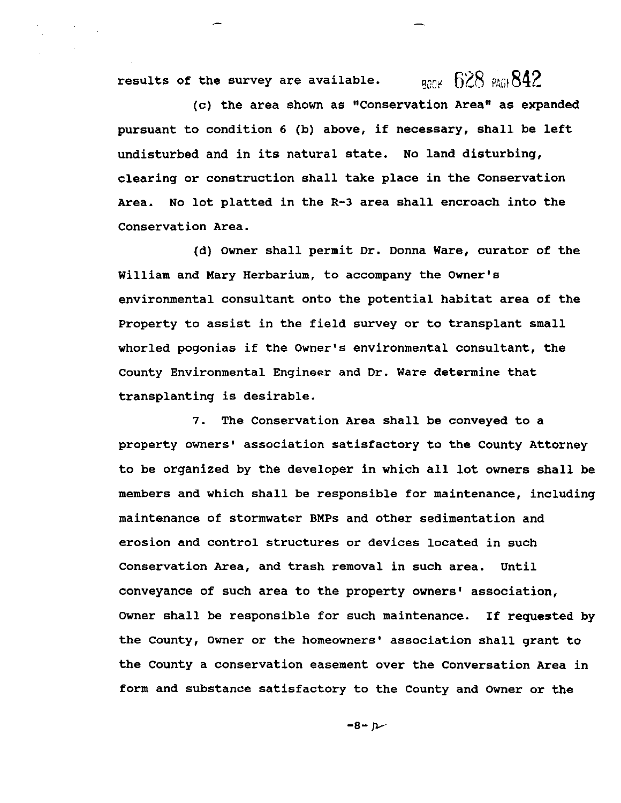results of the survey are available.  $R^2$ <sub>800</sub>  $R^2$ 842

**(c) the area shown as "Conservation Arean as expanded pursuant to condition 6 (b) above, if necessary, shall be left undisturbed and in its natural state. No land disturbing, clearing or construction shall take place in the Conservation Area. No lot platted in the R-3 area shall encroach into the Conservation Area.** 

**(d) Owner shall permit Dr. Donna Ware, curator of the William and Mary Herbarium, to accompany the Owner's environmental consultant onto the potential habitat area of the Property to assist in the field survey or to transplant small whorled pogonias if the Owner's environmental consultant, the County Environmental Engineer and Dr. Ware determine that transplanting is desirable.** 

**7. The Conservation Area shall be conveyed to a**  property owners' association satisfactory to the County Attorney **to be organized by the developer in which all lot owners shall be members and which shall be responsible for maintenance, including maintenance of stormwater BMPs and other sedimentation and erosion and control structures or devices located in such Conservation Area, and trash removal in such area. Until conveyance of such area to the property owners1 association, Owner shall be responsible for such maintenance. If requested by**  the County, Owner or the homeowners' association shall grant to **the County a conservation easement over the Conversation Area in form and substance satisfactory to the County and Owner or the** 

 $-8 - p$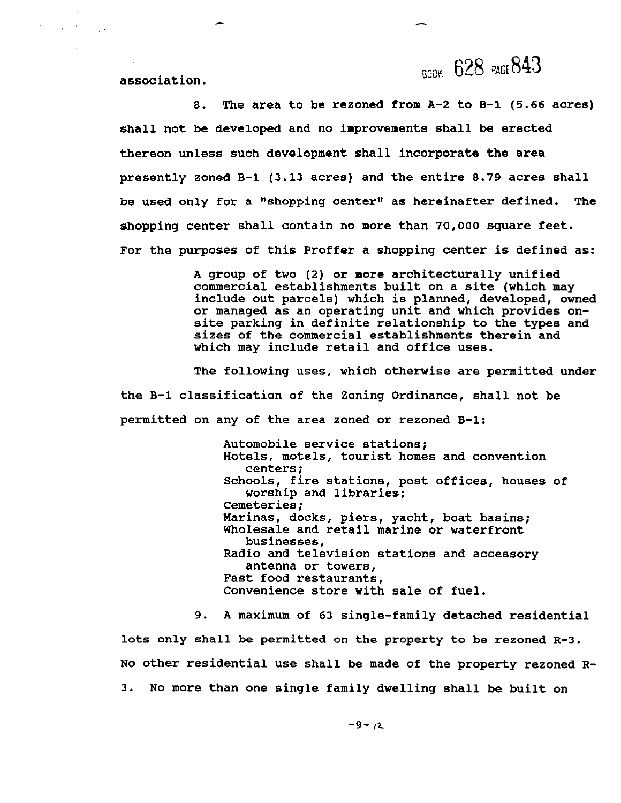**BODK 628 PAGE 843** 

**association.** 

 $\sim 10^{-10}$ 

 $\sim 10^4$ 

**8. The area to be rezoned from A-2 to B-1 (5.66 acres) shall not be developed and no improvements shall be erected thereon unless such development shall incorporate the area presently zoned B-1 (3.13 acres) and the entire 8.79 acres shall**  be used only for a "shopping center" as hereinafter defined. The **shopping center shall contain no more than 70,000 square feet. For the purposes of this Proffer a shopping center is defined as:** 

> **A group of two (2) or more architecturally unified commercial establishments built on a site (which may include out parcels) which is planned, developed, owned or managed as an operating unit and which provides onsite parking in definite relationship to the types and sizes of the commercial establishments therein and which may include retail and office uses.**

**The following uses, which otherwise are permitted under the B-1 classification of the Zoning Ordinance, shall not be permitted on any of the area zoned or rezoned B-1:** 

> **Automobile service stations; Hotels, motels, tourist homes and convention centers** ; **Schools, fire stations, post offices, houses of worship and libraries; Cemeteries; Marinas, docks, piers, yacht, boat basins; Wholesale and retail marine or waterfront businesses, Radio and television stations and accessory antenna or towers, Fast food restaurants, Convenience store with sale of fuel.**

**9. A maximum of 63 single-family detached residential** 

**lots only shall be permitted on the property to be rezoned R-3. NO other residential use shall be made of the property rezoned R-3. No more than one single family dwelling shall be built on**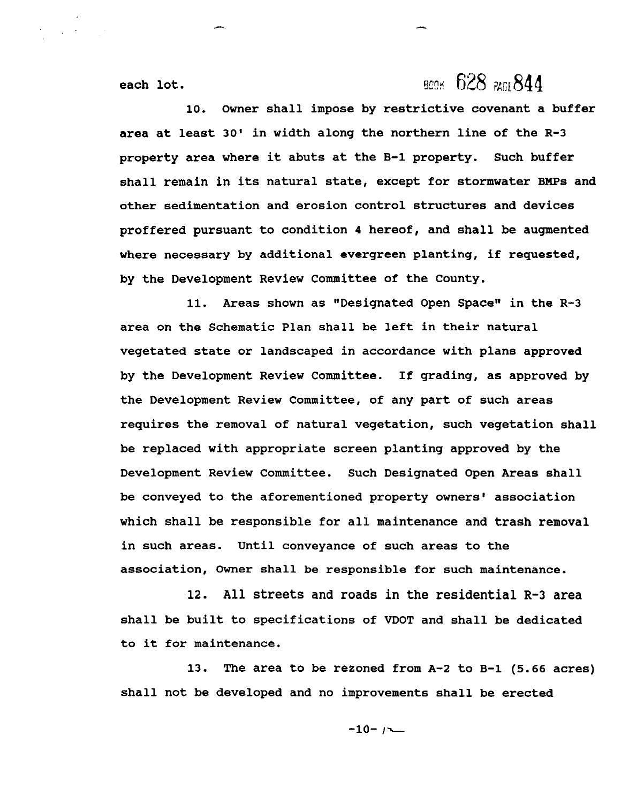## **BCOK 628 PAGE 844**

**each lot.** 

**10. Owner shall impose by restrictive covenant a buffer area at least 30' in width along the northern line of the R-3 property area where it abuts at the B-1 property. Such buffer shall remain in its natural state, except for stormwater BMPs and other sedimentation and erosion control structures and devices proffered pursuant to condition 4 hereof, and shall be augmented where necessary by additional evergreen planting, if requested, by the Development Review Committee of the County.** 

11. Areas shown as "Designated Open Space" in the R-3 **area on the Schematic Plan shall be left in their natural vegetated state or landscaped in accordance with plans approved by the Development Review Committee. If grading, as approved by the Development Review Committee, of any part of such areas requires the removal of natural vegetation, such vegetation shall be replaced with appropriate screen planting approved by the Development Review Committee. Such Designated Open Areas shall**  be conveyed to the aforementioned property owners' association **which shall be responsible for all maintenance and trash removal in such areas. Until conveyance of such areas to the association, Owner shall be responsible for such maintenance.** 

**12. All streets and roads in the residential R-3 area shall be built to specifications of VDOT and shall be dedicated to it for maintenance.** 

**13. The area to be rezoned from A-2 to B-1 (5.66 acres) shall not be developed and no improvements shall be erected** 

 $-10-1$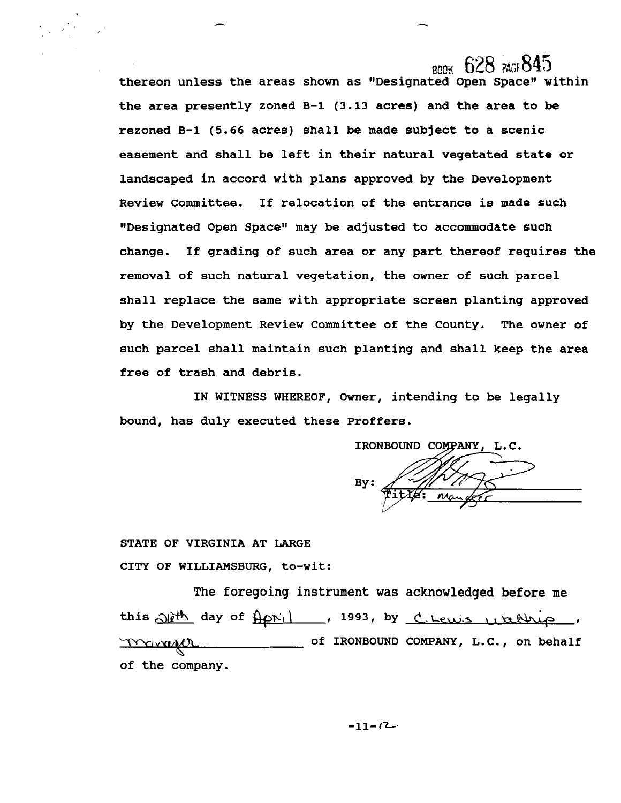**ROOK** 628 **PAGE 845** thereon unless the areas shown as "Designated Open Space" within **the area presently zoned B-1 (3.13 acres) and the area to be rezoned B-1 (5.66 acres) shall be made subject to a scenic easement and shall be left in their natural vegetated state or landscaped in accord with plans approved by the Development Review Committee. If relocation of the entrance is made such "Designated Open Spacett may be adjusted to accommodate such change. If grading of such area or any part thereof requires the removal of such natural vegetation, the owner of such parcel shall replace the same with appropriate screen planting approved by the Development Review Committee of the County. The owner of such parcel shall maintain such planting and shall keep the area free of trash and debris. The foregoing instrument was acknowledged before me <br>
The foregoing in accord with plans approved by the Development<br>
<b>The foregoing instead of the foregoing of the offering instead of the originated open space" may be ad** 

**IN WITNESS WHEREOF, Owner, intending to be legally bound, has duly executed these Proffers.** 

IRONBOUND COMPANY, L.C **By:** 

**STATE OF VIRGINIA AT LARGE CITY OF WILLIAMSBURG, to-wit:** 

**of IRONBOUND COMPANY, L.C., on behalf of the company.**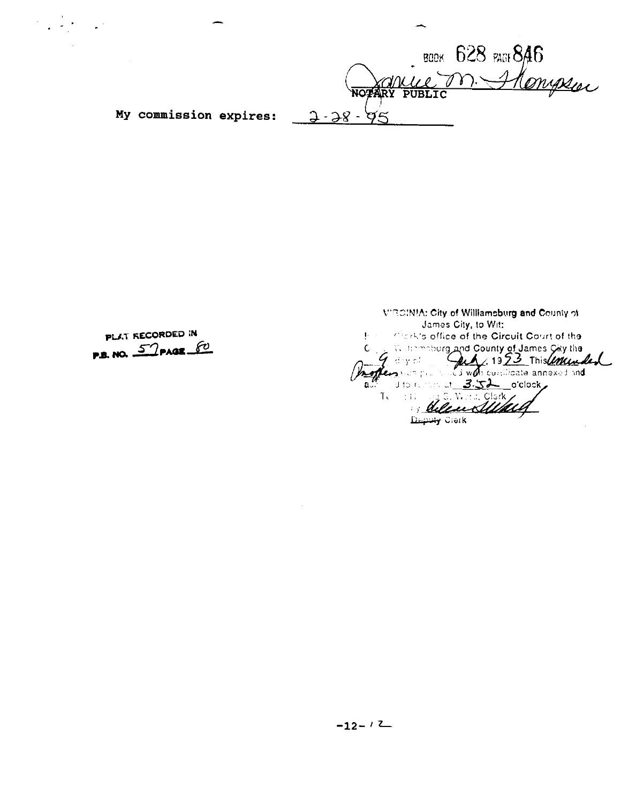BOOK 628 PATS 846 **MOPARY PUBLIC**<br>My commission expires:  $3-38-95$ 

PLAT RECORDED IN P.B. NO. 57 PAGE 60

**WROINIA: City of Williamsburg and County of** James City, to Wit: **1999 Trailer City, to With Core of the Circuit Court of the** d County of James *City* the  $M:1323$  $\mathbf{w}$  , currificate annexed and  $\mathbf{v}$ 1. Wellen Sulful Deputy Clerk